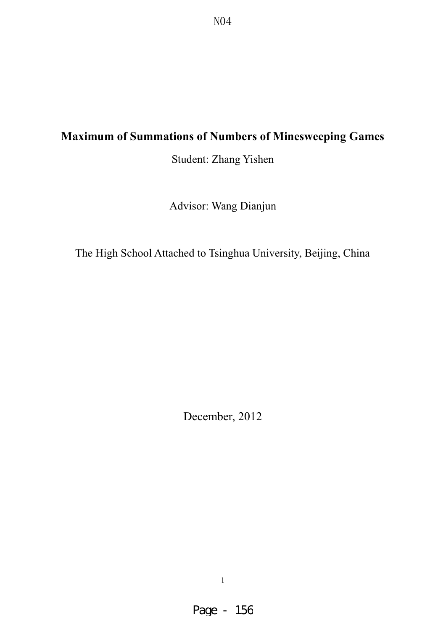## **Maximum of Summations of Numbers of Minesweeping Games**

Student: Zhang Yishen

Advisor: Wang Dianjun

The High School Attached to Tsinghua University, Beijing, China

December, 2012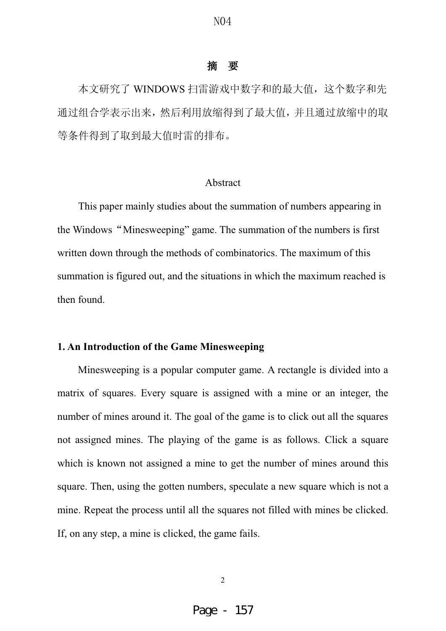#### 摘 要

本文研究了 WINDOWS 扫雷游戏中数字和的最大值, 这个数字和先 通过组合学表示出来,然后利用放缩得到了最大值,并且通过放缩中的取 等条件得到了取到最大值时雷的排布。

#### Abstract

This paper mainly studies about the summation of numbers appearing in the Windows "Minesweeping" game. The summation of the numbers is first written down through the methods of combinatorics. The maximum of this summation is figured out, and the situations in which the maximum reached is then found.

## **1. An Introduction of the Game Minesweeping**

Minesweeping is a popular computer game. A rectangle is divided into a matrix of squares. Every square is assigned with a mine or an integer, the number of mines around it. The goal of the game is to click out all the squares not assigned mines. The playing of the game is as follows. Click a square which is known not assigned a mine to get the number of mines around this square. Then, using the gotten numbers, speculate a new square which is not a mine. Repeat the process until all the squares not filled with mines be clicked. If, on any step, a mine is clicked, the game fails.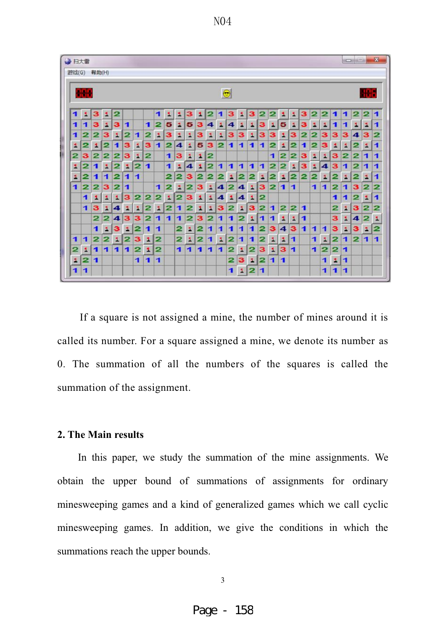| $\mathbf{x}$<br>economic<br>上日大雷<br>帮助(H)<br>游戏(G) |    |                         |    |   |   |   |     |   |                |    |                      |              |   |   |         |                 |   |   |   |   |   |   |                     |   |   |              |   |   |   |  |  |
|----------------------------------------------------|----|-------------------------|----|---|---|---|-----|---|----------------|----|----------------------|--------------|---|---|---------|-----------------|---|---|---|---|---|---|---------------------|---|---|--------------|---|---|---|--|--|
| <b>Albert</b>                                      |    |                         |    |   |   |   |     |   |                |    |                      |              |   |   | $\odot$ |                 |   |   |   |   |   |   |                     |   |   | 496          |   |   |   |  |  |
| 1                                                  | 21 | з                       | 2  | 2 |   |   |     | 1 | 빛              | ٠  | з                    | $\mathbf{1}$ | 2 | 1 | з       | 2               | з | 2 |   | 2 | 2 | з | 2                   | 2 | 1 | п            | 2 |   | и |  |  |
| 1                                                  | 1  | з                       | 2  | з | 1 |   | 1   | 2 | 5              | 1  | 5                    | з            | 4 | 1 | 4       | 1               | А | з | ш | 5 | 2 | з | z.                  | 2 | 1 | 1            | 1 | а | 1 |  |  |
| 1                                                  | 2  | 2                       | з  | 1 | 2 | 1 | 2   | 1 | з              | s. | 1                    | з            | 1 | 2 | з       | з               | ш | з | з | а | з | 2 | 2                   | з | з | з            | 4 | з |   |  |  |
| Е                                                  | 2  | 1                       | 2  | 1 | з | 1 | з   | 1 | 2              | 4  | 1                    | 5            | з | 2 | и       | 1               | и | 1 | 2 | А | 2 | 1 | 2                   | з | 1 | А            | 2 | 1 | 1 |  |  |
| 2                                                  | з  | 2                       | 2  | 2 | з | 2 | 2   |   | 1              | з  | $\blacktriangle$     | л.           | 2 |   |         |                 |   |   | 1 | 2 | 2 | з | 1                   | 2 | з | 2            | 2 | п | 1 |  |  |
| 2                                                  | 2  | 1                       | 1  | 2 | ш | 2 | п   |   | 1              | ш  | $\blacktriangleleft$ | 1            | 2 | 1 | п       | 1               | 1 | п | 2 | 2 | 1 | з | z.                  | 4 | з | и            | 2 | 1 | 1 |  |  |
| а                                                  | 2  | 1                       | 1  | 2 | 1 | ы |     |   | 2              | 2  | з                    | 2            | 2 | 2 | 2       | 2               |   | а | 2 | 2 | 2 | 2 |                     | 2 | 2 | 2            | 2 | а | 1 |  |  |
| 1                                                  | 2  | 2                       | з  | 2 | 1 |   |     | 1 | 2              | 1  | 2                    | з            | 1 | 4 | 2       | 4               | 1 | з | 2 | п | 1 |   | $\ddot{\textbf{1}}$ | 1 | 2 | 1.           | з | 2 | 2 |  |  |
|                                                    | 1  | $\overline{\mathbf{r}}$ | ュ  | 1 | з |   | 2 2 | 2 | 2              | 2  | з                    | 1            | 1 | 4 | 2       | 4               | 1 | 2 |   |   |   |   |                     |   | 1 | 1            | 2 | я | 1 |  |  |
|                                                    | 1  | з                       | E. | 4 | E | а | 2   | 2 | 2              | 1  | 2                    |              | ٨ | з | 2       | ×.              | з | 2 | 1 | 2 | 2 | 1 |                     |   | 2 | 1            | з | 2 | 2 |  |  |
|                                                    |    | 2                       | 2  | 4 | з | з | 2   | 1 | $\blacksquare$ | п  | 2                    | з            | 2 | 1 | 1       | 2               | 1 | 1 | 1 | а | 1 | 1 |                     |   | з | $\mathbf{1}$ | 4 | 2 |   |  |  |
|                                                    |    | 1                       | 1  | з | 2 | 2 | 1   | 1 |                | 2  | 2                    | 2            | 1 | 1 | 1       | $\blacklozenge$ | 1 | 2 | з | 4 | з | 1 | н                   | 1 | з | $\mathbf{1}$ | з | А |   |  |  |
| 1                                                  | 1  | 2                       | 2  | 1 | 2 | з | z,  | 2 |                | 2  | 2                    | 2            | 1 | ш | 2       | 1               | 1 | 2 | 2 | а | 1 |   | 1                   | 1 | 2 | 1            | 2 | 1 | п |  |  |
| 2                                                  | и  | 1                       | и  | 1 | п | 2 | 1   | 2 |                | и  | и                    | п            | п | 1 | 2       | ×.              | 2 | з | я | з | и |   | п                   | 2 | 2 | и            |   |   |   |  |  |
| E,                                                 | 2  | 1                       |    |   |   | и | п   | 1 |                |    |                      |              |   |   | 2       | з               | 生 | 2 | 1 | 1 |   |   |                     | 1 | я | 1            |   |   |   |  |  |
| 1                                                  | 1  |                         |    |   |   |   |     |   |                |    |                      |              |   |   | 1       | 1               | 2 | 1 |   |   |   |   |                     | 1 | 1 | 1            |   |   |   |  |  |

N<sub>04</sub>

If a square is not assigned a mine, the number of mines around it is called its number. For a square assigned a mine, we denote its number as 0. The summation of all the numbers of the squares is called the summation of the assignment.

## **2. The Main results**

In this paper, we study the summation of the mine assignments. We obtain the upper bound of summations of assignments for ordinary minesweeping games and a kind of generalized games which we call cyclic minesweeping games. In addition, we give the conditions in which the summations reach the upper bounds.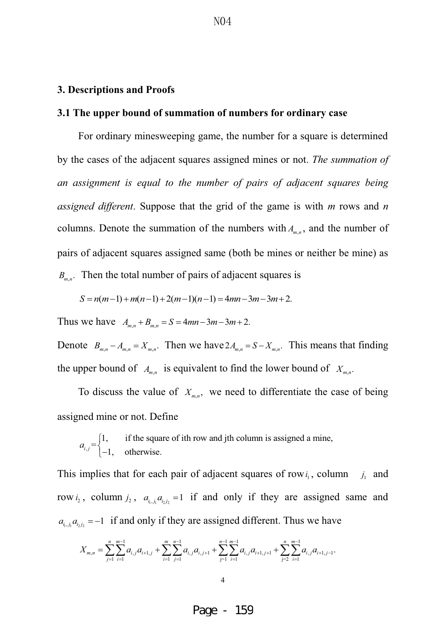#### **3. Descriptions and Proofs**

#### **3.1 The upper bound of summation of numbers for ordinary case**

For ordinary minesweeping game, the number for a square is determined by the cases of the adjacent squares assigned mines or not. *The summation of an assignment is equal to the number of pairs of adjacent squares being assigned different*. Suppose that the grid of the game is with *m* rows and *n* columns. Denote the summation of the numbers with  $A_{m,n}$ , and the number of pairs of adjacent squares assigned same (both be mines or neither be mine) as  $B_{m,n}$ . Then the total number of pairs of adjacent squares is

$$
S = n(m-1) + m(n-1) + 2(m-1)(n-1) = 4mn - 3m - 3m + 2.
$$

Thus we have  $A_{m,n} + B_{m,n} = S = 4mn - 3m - 3m + 2$ .

Denote  $B_{m,n} - A_{m,n} = X_{m,n}$ . Then we have  $2A_{m,n} = S - X_{m,n}$ . This means that finding the upper bound of  $A_{m,n}$  is equivalent to find the lower bound of  $X_{m,n}$ .

To discuss the value of  $X_{m,n}$ , we need to differentiate the case of being assigned mine or not. Define

$$
a_{i,j} = \begin{cases} 1, & \text{if the square of ith row and jth column is assigned a mine,} \\ -1, & \text{otherwise.} \end{cases}
$$

This implies that for each pair of adjacent squares of row  $i_1$ , column  $j_1$  $j_1$  and row  $i_2$ , column  $j_2$ ,  $a_{i_1,i_1}a_{i_2,i_2} = 1$  if and only if they are assigned same and  $a_{i_1,i_1} a_{i_2,i_2} = -1$  if and only if they are assigned different. Thus we have

$$
X_{m,n} = \sum_{j=1}^{n} \sum_{i=1}^{m-1} a_{i,j} a_{i+1,j} + \sum_{i=1}^{m} \sum_{j=1}^{n-1} a_{i,j} a_{i,j+1} + \sum_{j=1}^{n-1} \sum_{i=1}^{m-1} a_{i,j} a_{i+1,j+1} + \sum_{j=2}^{n} \sum_{i=1}^{m-1} a_{i,j} a_{i+1,j-1}.
$$

4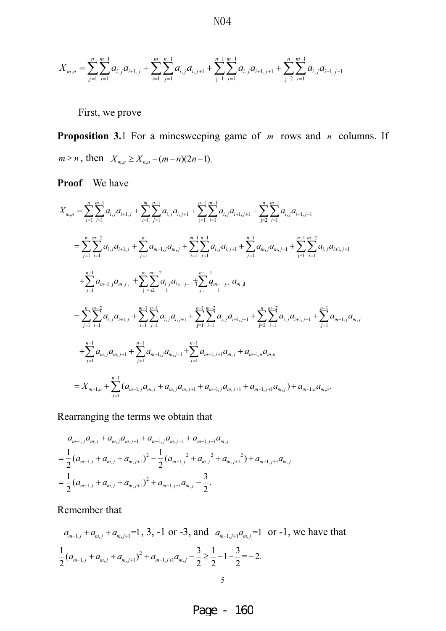$$
X_{m,n} = \sum_{j=1}^{n} \sum_{i=1}^{m-1} a_{i,j} a_{i+1,j} + \sum_{i=1}^{m} \sum_{j=1}^{n-1} a_{i,j} a_{i,j+1} + \sum_{j=1}^{n-1} \sum_{i=1}^{m-1} a_{i,j} a_{i+1,j+1} + \sum_{j=2}^{n} \sum_{i=1}^{m-1} a_{i,j} a_{i+1,j-1}
$$

First, we prove

**Proposition 3.**1 For a minesweeping game of *m* rows and *n* columns. If  $m \ge n$ , then  $X_{m,n} \ge X_{n,n} - (m-n)(2n-1)$ .

**Proof** We have

$$
X_{m,n} = \sum_{j=1}^{n} \sum_{i=1}^{m-1} a_{i,j} a_{i+1,j} + \sum_{i=1}^{m} \sum_{j=1}^{n-1} a_{i,j} a_{i,j+1} + \sum_{j=1}^{n-1} \sum_{i=1}^{m-1} a_{i,j} a_{i+1,j+1} + \sum_{j=2}^{n} \sum_{i=1}^{m-1} a_{i,j} a_{i+1,j-1}
$$
  
\n
$$
= \sum_{j=1}^{n} \sum_{i=1}^{m-2} a_{i,j} a_{i+1,j} + \sum_{j=1}^{n} a_{m-1,j} a_{m,j} + \sum_{i=1}^{m-1} \sum_{j=1}^{n-1} a_{i,j} a_{i,j+1} + \sum_{j=1}^{n-1} a_{m,j} a_{m,j+1} + \sum_{j=1}^{n-1} \sum_{i=1}^{m-2} a_{i,j} a_{i+1,j+1}
$$
  
\n
$$
+ \sum_{j=1}^{n-1} a_{m-1,j} a_{m,j} + \sum_{j=1}^{n} \sum_{j=2}^{m-2} a_{i,j} a_{i+1,j} + \sum_{j=1}^{n-1} \sum_{j=1}^{n-1} a_{i,j} a_{i,j+1} + \sum_{j=1}^{n-1} \sum_{i=1}^{m-2} a_{i,j} a_{i+1,j+1} + \sum_{j=2}^{n} \sum_{i=1}^{m-2} a_{i,j} a_{i+1,j-1} + \sum_{j=1}^{n-1} a_{m-1,j} a_{m,j}
$$
  
\n
$$
+ \sum_{j=1}^{n-1} a_{m,j} a_{m,j+1} + \sum_{j=1}^{n-1} a_{m-1,j} a_{m,j+1} + \sum_{j=1}^{n-1} a_{m-1,j+1} a_{m,j} + a_{m-1,n} a_{m,n}
$$
  
\n
$$
= X_{m-1,n} + \sum_{j=1}^{n-1} (a_{m-1,j} a_{m,j} + a_{m,j} a_{m,j+1} + a_{m-1,j} a_{m,j+1} + a_{m-1,j+1} a_{m,j} + a_{m,n} a_{m,n}.
$$

Rearranging the terms we obtain that

$$
a_{m-1,j}a_{m,j} + a_{m,j}a_{m,j+1} + a_{m-1,j}a_{m,j+1} + a_{m-1,j+1}a_{m,j}
$$
  
=  $\frac{1}{2}(a_{m-1,j} + a_{m,j} + a_{m,j+1})^2 - \frac{1}{2}(a_{m-1,j} + a_{m,j} + a_{m,j+1}) + a_{m-1,j+1}a_{m,j}$   
=  $\frac{1}{2}(a_{m-1,j} + a_{m,j} + a_{m,j+1})^2 + a_{m-1,j+1}a_{m,j} - \frac{3}{2}.$ 

Remember that

$$
a_{m-1,j} + a_{m,j} + a_{m,j+1} = 1, 3, -1 \text{ or } -3, \text{ and } a_{m-1,j+1}a_{m,j} = 1 \text{ or } -1, \text{ we have that}
$$
  
\n
$$
\frac{1}{2}(a_{m-1,j} + a_{m,j} + a_{m,j+1})^2 + a_{m-1,j+1}a_{m,j} - \frac{3}{2} \ge \frac{1}{2} - 1 - \frac{3}{2} = -2.
$$

Page - 16C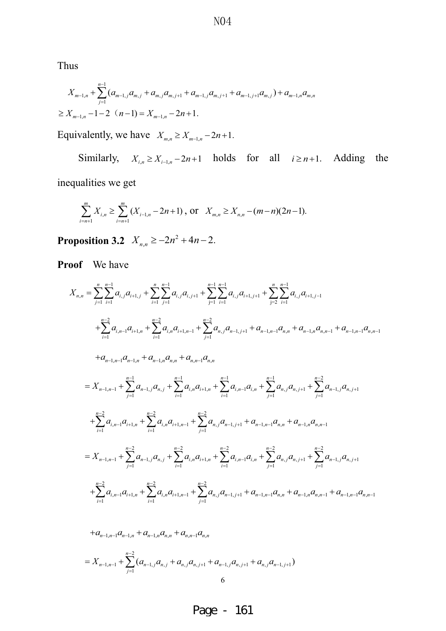$N<sub>04</sub>$ 

Thus

$$
X_{m-1,n} + \sum_{j=1}^{n-1} (a_{m-1,j}a_{m,j} + a_{m,j}a_{m,j+1} + a_{m-1,j}a_{m,j+1} + a_{m-1,j+1}a_{m,j}) + a_{m-1,n}a_{m,n}
$$
  
\n
$$
\geq X_{m-1,n} - 1 - 2 \quad (n-1) = X_{m-1,n} - 2n + 1.
$$

Equivalently, we have  $X_{m,n} \ge X_{m-1,n} - 2n + 1$ .

Similarly,  $X_{i,n} \ge X_{i-1,n} - 2n + 1$  holds for all  $i \ge n+1$ . Adding the inequalities we get

$$
\sum_{i=n+1}^{m} X_{i,n} \ge \sum_{i=n+1}^{m} (X_{i-1,n} - 2n + 1), \text{ or } X_{m,n} \ge X_{n,n} - (m-n)(2n-1).
$$

**Proposition 3.2**  $X_{n,n} \ge -2n^2 + 4n - 2$ .

**Proof** We have

$$
X_{n,n} = \sum_{j=1}^{n} \sum_{i=1}^{n-1} a_{i,j} a_{i+1,j} + \sum_{i=1}^{n} \sum_{j=1}^{n-1} a_{i,j} a_{i,j+1} + \sum_{j=1}^{n-1} \sum_{l=1}^{n-1} a_{i,j} a_{i+1,j+1} + \sum_{j=2}^{n} \sum_{i=1}^{n-1} a_{i,j} a_{i+1,j-1}
$$
  
+ 
$$
+ \sum_{i=1}^{n-2} a_{i,n-1} a_{i+1,n} + \sum_{i=1}^{n-2} a_{i,n} a_{i+1,n-1} + \sum_{j=1}^{n-2} a_{n,j} a_{n-1,j+1} + a_{n-1,n-1} a_{n,n} + a_{n-1,n} a_{n,n-1} + a_{n-1,n-1} a_{n,n-1}
$$
  
+ 
$$
a_{n-1,n-1} a_{n-1,n} + a_{n-1,n} a_{n,n} + a_{n,n-1} a_{n,n}
$$
  
= 
$$
X_{n-1,n-1} + \sum_{j=1}^{n-1} a_{n-1,j} a_{n,j} + \sum_{i=1}^{n-1} a_{i,n} a_{i+1,n} + \sum_{i=1}^{n-1} a_{i,n-1} a_{i,n} + \sum_{j=1}^{n-1} a_{n,j} a_{n,j+1} + \sum_{j=1}^{n-2} a_{n-1,j} a_{n,j+1}
$$
  
+ 
$$
+ \sum_{i=1}^{n-2} a_{i,n-1} a_{i+1,n} + \sum_{i=1}^{n-2} a_{i,n} a_{i+1,n-1} + \sum_{j=1}^{n-2} a_{n,j} a_{n-1,j+1} + a_{n-1,n-1} a_{n,n} + a_{n-1,n} a_{n,n-1}
$$
  
= 
$$
X_{n-1,n-1} + \sum_{j=1}^{n-2} a_{n-1,j} a_{n,j} + \sum_{i=1}^{n-2} a_{i,n} a_{i+1,n} + \sum_{j=1}^{n-2} a_{i,n} a_{n-1,j+1} + a_{n-1,n-1} a_{n,n} + a_{n-1,n} a_{n,n-1} + a_{n-1,n-1} a_{n,n-1}
$$
  
+ <math display="</math>

$$
= X_{n-1,n-1} + \sum_{j=1}^{n-2} (a_{n-1,j}a_{n,j} + a_{n,j}a_{n,j+1} + a_{n-1,j}a_{n,j+1} + a_{n,j}a_{n-1,j+1})
$$
  
6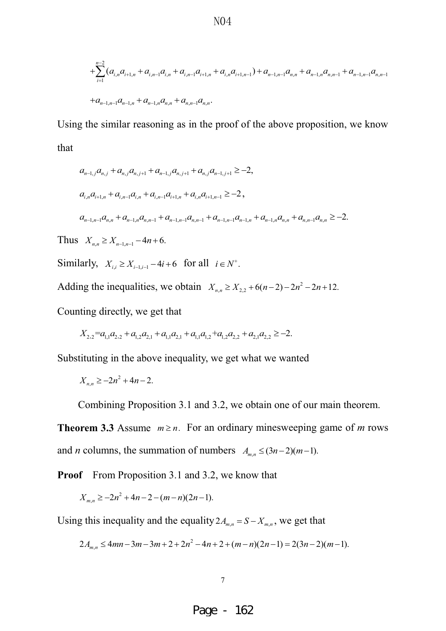$$
+\sum_{i=1}^{n-2} (a_{i,n}a_{i+1,n} + a_{i,n-1}a_{i,n} + a_{i,n-1}a_{i+1,n} + a_{i,n}a_{i+1,n-1}) + a_{n-1,n-1}a_{n,n} + a_{n-1,n}a_{n,n-1} + a_{n-1,n-1}a_{n,n-1}
$$
  
+
$$
a_{n-1,n-1}a_{n-1,n} + a_{n-1,n}a_{n,n} + a_{n,n-1}a_{n,n}.
$$

Using the similar reasoning as in the proof of the above proposition, we know that

$$
a_{n-1,j}a_{n,j} + a_{n,j}a_{n,j+1} + a_{n-1,j}a_{n,j+1} + a_{n,j}a_{n-1,j+1} \ge -2,
$$
  
\n
$$
a_{i,n}a_{i+1,n} + a_{i,n-1}a_{i,n} + a_{i,n-1}a_{i+1,n} + a_{i,n}a_{i+1,n-1} \ge -2,
$$
  
\n
$$
a_{n-1,n-1}a_{n,n} + a_{n-1,n}a_{n,n-1} + a_{n-1,n-1}a_{n,n-1} + a_{n-1,n-1}a_{n-1,n} + a_{n-1,n}a_{n,n} + a_{n,n-1}a_{n,n} \ge -2.
$$

Thus  $X_{n,n} \ge X_{n-1,n-1} - 4n + 6$ .

Similarly,  $X_{i,i} \ge X_{i-1,i-1} - 4i + 6$  for all  $i \in N^+$ .

Adding the inequalities, we obtain  $X_{n,n} \ge X_{2,2} + 6(n-2) - 2n^2 - 2n + 12$ .

Counting directly, we get that

 $X_{2,2} = a_{1,1}a_{2,2} + a_{1,2}a_{2,1} + a_{1,1}a_{2,1} + a_{1,1}a_{1,2} + a_{1,2}a_{2,2} + a_{2,1}a_{2,2} \geq -2.$ 

Substituting in the above inequality, we get what we wanted

$$
X_{n,n} \ge -2n^2 + 4n - 2.
$$

Combining Proposition 3.1 and 3.2, we obtain one of our main theorem.

**Theorem 3.3** Assume  $m \ge n$ . For an ordinary minesweeping game of *m* rows and *n* columns, the summation of numbers  $A_{m,n} \leq (3n-2)(m-1)$ .

**Proof** From Proposition 3.1 and 3.2, we know that

 $X_{m,n} \geq -2n^2 + 4n - 2 - (m-n)(2n-1).$ 

Using this inequality and the equality  $2A_{m,n} = S - X_{m,n}$ , we get that

$$
2A_{m,n} \leq 4mn - 3m - 3m + 2 + 2n^2 - 4n + 2 + (m - n)(2n - 1) = 2(3n - 2)(m - 1).
$$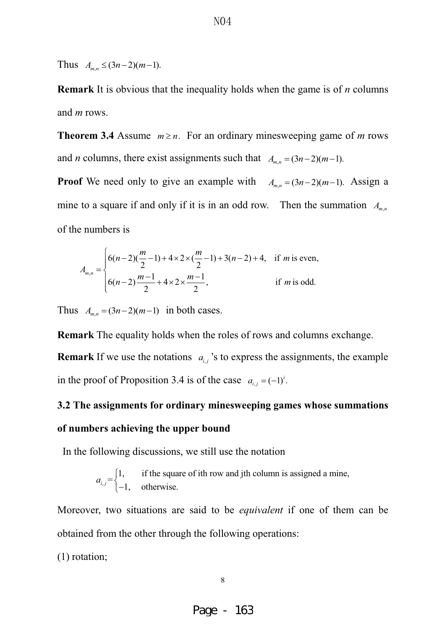Thus  $A_{m,n} \leq (3n-2)(m-1)$ .

**Remark** It is obvious that the inequality holds when the game is of *n* columns and *m* rows.

**Theorem 3.4** Assume  $m \ge n$ . For an ordinary minesweeping game of *m* rows and *n* columns, there exist assignments such that  $A_{m,n} = (3n-2)(m-1)$ .

**Proof** We need only to give an example with  $A_{m,n} = (3n-2)(m-1)$ . Assign a mine to a square if and only if it is in an odd row. Then the summation  $A_{m,n}$ of the numbers is

$$
A_{m,n} = \begin{cases} 6(n-2)\left(\frac{m}{2} - 1\right) + 4 \times 2 \times \left(\frac{m}{2} - 1\right) + 3(n-2) + 4, & \text{if } m \text{ is even,} \\ 6(n-2)\frac{m-1}{2} + 4 \times 2 \times \frac{m-1}{2}, & \text{if } m \text{ is odd.} \end{cases}
$$

Thus  $A_{m,n} = (3n-2)(m-1)$  in both cases.

**Remark** The equality holds when the roles of rows and columns exchange. **Remark** If we use the notations  $a_{i,j}$  's to express the assignments, the example in the proof of Proposition 3.4 is of the case  $a_{i,j} = (-1)^i$ .

# **3.2 The assignments for ordinary minesweeping games whose summations of numbers achieving the upper bound**

In the following discussions, we still use the notation

$$
a_{i,j} = \begin{cases} 1, & \text{if the square of ith row and jth column is assigned a mine,} \\ -1, & \text{otherwise.} \end{cases}
$$

Moreover, two situations are said to be *equivalent* if one of them can be obtained from the other through the following operations:

(1) rotation;

Page - 163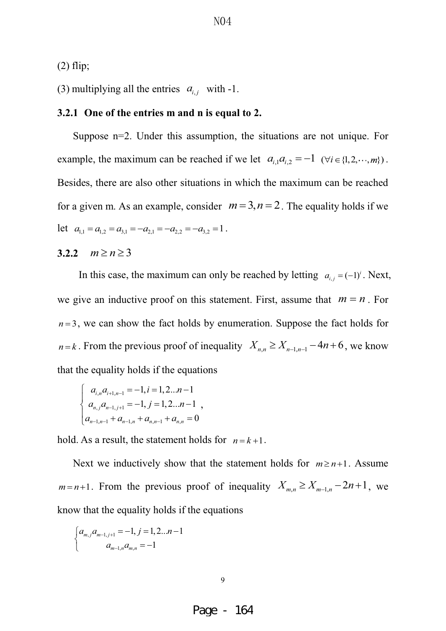(2) flip;

(3) multiplying all the entries  $a_{i,j}$  with -1.

#### **3.2.1 One of the entries m and n is equal to 2.**

 Suppose n=2. Under this assumption, the situations are not unique. For example, the maximum can be reached if we let  $a_{i,1} a_{i,2} = -1$  ( $\forall i \in \{1, 2, \dots, m\}$ ). Besides, there are also other situations in which the maximum can be reached for a given m. As an example, consider  $m = 3$ ,  $n = 2$ . The equality holds if we let  $a_{1,1} = a_{1,2} = a_{3,1} = -a_{2,1} = -a_{2,2} = -a_{3,2} = 1$ .

## **3.2.2**  $m \ge n \ge 3$

In this case, the maximum can only be reached by letting  $a_{i,j} = (-1)^i$ . Next, we give an inductive proof on this statement. First, assume that  $m = n$ . For  $n = 3$ , we can show the fact holds by enumeration. Suppose the fact holds for  $n = k$ . From the previous proof of inequality  $X_{n,n} \ge X_{n-1,n-1} - 4n + 6$ , we know that the equality holds if the equations

$$
\begin{cases}\na_{i,n}a_{i+1,n-1} = -1, i = 1, 2...n-1 \\
a_{n,j}a_{n-1,j+1} = -1, j = 1, 2...n-1 \\
a_{n-1,n-1} + a_{n-1,n} + a_{n,n-1} + a_{n,n} = 0\n\end{cases}
$$

hold. As a result, the statement holds for  $n = k + 1$ .

Next we inductively show that the statement holds for  $m \geq n+1$ . Assume  $m = n + 1$ . From the previous proof of inequality  $X_{m,n} \ge X_{m-1,n} - 2n + 1$ , we know that the equality holds if the equations

$$
\begin{cases} a_{m,j}a_{m-1,j+1} = -1, j = 1, 2...n-1 \\ a_{m-1,n}a_{m,n} = -1 \end{cases}
$$

Page - 164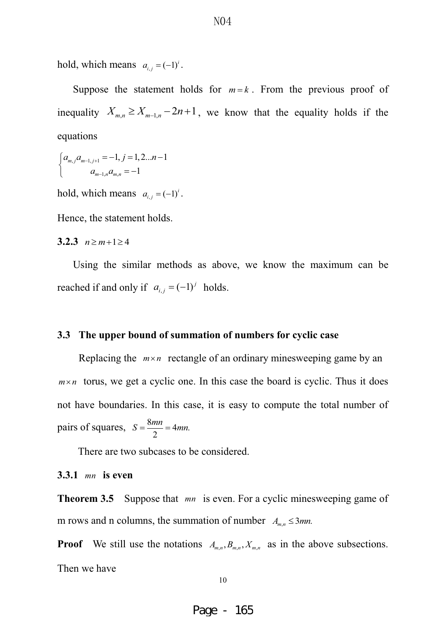hold, which means  $a_{i,j} = (-1)^i$ .

Suppose the statement holds for  $m = k$ . From the previous proof of inequality  $X_{m,n} \ge X_{m-1,n} - 2n + 1$ , we know that the equality holds if the equations

$$
\begin{cases} a_{m,j}a_{m-1,j+1} = -1, j = 1, 2...n-1 \\ a_{m-1,n}a_{m,n} = -1 \end{cases}
$$

hold, which means  $a_{i,j} = (-1)^i$ .

Hence, the statement holds.

#### 3.2.3  $n \ge m+1 \ge 4$

 Using the similar methods as above, we know the maximum can be reached if and only if  $a_{i,j} = (-1)^j$  holds.

#### **3.3 The upper bound of summation of numbers for cyclic case**

Replacing the  $m \times n$  rectangle of an ordinary minesweeping game by an  $m \times n$  torus, we get a cyclic one. In this case the board is cyclic. Thus it does not have boundaries. In this case, it is easy to compute the total number of pairs of squares,  $S = \frac{8mn}{2} = 4mn$ . 2  $S = \frac{8mn}{2} = 4mn$ .

There are two subcases to be considered.

### **3.3.1** *mn* **is even**

**Theorem 3.5** Suppose that *mn* is even. For a cyclic minesweeping game of m rows and n columns, the summation of number  $A_{m,n} \leq 3mn$ .

**Proof** We still use the notations  $A_{m,n}$ ,  $B_{m,n}$ ,  $X_{m,n}$  as in the above subsections. Then we have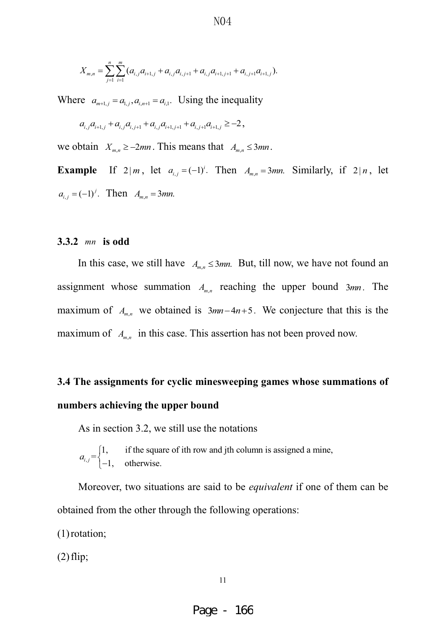$$
X_{m,n} = \sum_{j=1}^{n} \sum_{i=1}^{m} (a_{i,j} a_{i+1,j} + a_{i,j} a_{i,j+1} + a_{i,j} a_{i+1,j+1} + a_{i,j+1} a_{i+1,j}).
$$

Where  $a_{m+1,j} = a_{1,j}, a_{i,n+1} = a_{i,1}$ . Using the inequality

$$
a_{i,j}a_{i+1,j} + a_{i,j}a_{i,j+1} + a_{i,j}a_{i+1,j+1} + a_{i,j+1}a_{i+1,j} \ge -2,
$$

we obtain  $X_{m,n} \ge -2mn$ . This means that  $A_{m,n} \le 3mn$ .

**Example** If  $2|m$ , let  $a_{i,j} = (-1)^i$ . Then  $A_{m,n} = 3mn$ . Similarly, if  $2|n$ , let  $a_{i,j} = (-1)^j$ . Then  $A_{m,n} = 3mn$ .

N<sub>04</sub>

#### **3.3.2** *mn* **is odd**

In this case, we still have  $A_{m,n} \leq 3mn$ . But, till now, we have not found an assignment whose summation  $A_{m,n}$  reaching the upper bound  $3mn$ . The maximum of  $A_{m,n}$  we obtained is  $3mn-4n+5$ . We conjecture that this is the maximum of  $A_{m,n}$  in this case. This assertion has not been proved now.

## **3.4 The assignments for cyclic minesweeping games whose summations of numbers achieving the upper bound**

As in section 3.2, we still use the notations

 $a_{i,j} = \begin{cases} 1, & \text{if the square of ith row and jth column is assigned a mine,} \\ -1, & \text{otherwise.} \end{cases}$  $\begin{cases} -1, & \text{otherwise.} \end{cases}$  otherwise.

Moreover, two situations are said to be *equivalent* if one of them can be obtained from the other through the following operations:

(1)rotation;

 $(2)$ flip;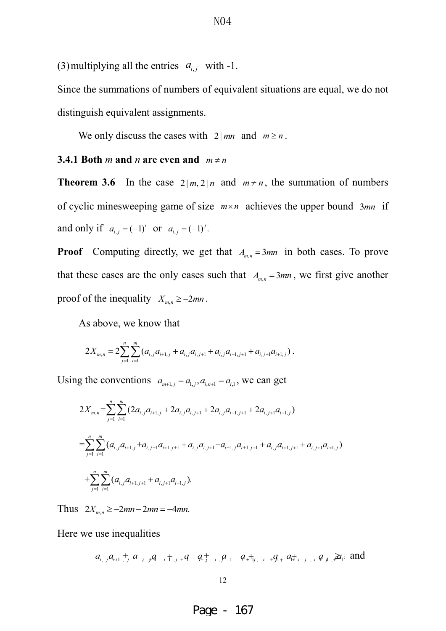(3) multiplying all the entries  $a_{i,j}$  with -1.

Since the summations of numbers of equivalent situations are equal, we do not distinguish equivalent assignments.

We only discuss the cases with  $2 | mn$  and  $m \ge n$ .

#### **3.4.1 Both** *m* and *n* are even and  $m \neq n$

**Theorem 3.6** In the case  $2|m,2|n$  and  $m \neq n$ , the summation of numbers of cyclic minesweeping game of size  $m \times n$  achieves the upper bound  $3mn$  if and only if  $a_{i,j} = (-1)^i$  or  $a_{i,j} = (-1)^j$ .

**Proof** Computing directly, we get that  $A_{m,n} = 3mn$  in both cases. To prove that these cases are the only cases such that  $A_{m,n} = 3mn$ , we first give another proof of the inequality  $X_{m,n} \ge -2mn$ .

As above, we know that

$$
2X_{m,n} = 2\sum_{j=1}^{n} \sum_{i=1}^{m} (a_{i,j}a_{i+1,j} + a_{i,j}a_{i,j+1} + a_{i,j}a_{i+1,j+1} + a_{i,j+1}a_{i+1,j}).
$$

Using the conventions  $a_{m+1,j} = a_{i,j}, a_{i,n+1} = a_{i,1}$ , we can get

$$
2X_{m,n} = \sum_{j=1}^{n} \sum_{i=1}^{m} (2a_{i,j}a_{i+1,j} + 2a_{i,j}a_{i,j+1} + 2a_{i,j}a_{i+1,j+1} + 2a_{i,j+1}a_{i+1,j})
$$
  
\n
$$
= \sum_{j=1}^{n} \sum_{i=1}^{m} (a_{i,j}a_{i+1,j} + a_{i,j+1}a_{i+1,j+1} + a_{i,j}a_{i,j+1} + a_{i+1,j}a_{i+1,j+1} + a_{i,j}a_{i+1,j+1} + a_{i,j+1}a_{i+1,j})
$$
  
\n
$$
+ \sum_{j=1}^{n} \sum_{i=1}^{m} (a_{i,j}a_{i+1,j+1} + a_{i,j+1}a_{i+1,j}).
$$

Thus  $2X_{m,n} \ge -2mn - 2mn = -4mn$ .

Here we use inequalities

 $a_{i, j}a_{i}a_{i} + a_{j}a_{j}a_{i} + a_{i}a_{j}a_{i}$  and  $a_{i}a_{j}$  *i*  $a_{i}a_{j}$  *a*  $a_{i}a_{j}$  *i a a a a a i j j i a a*<sub>*i*</sub> *j a a i a j a a i a j a a i a j a i a j*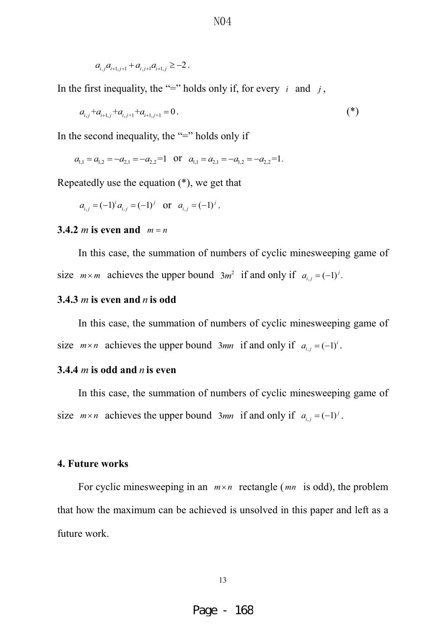$$
a_{i,j} a_{i+1,j+1} + a_{i,j+1} a_{i+1,j} \ge -2.
$$

In the first inequality, the "=" holds only if, for every  $i$  and  $j$ ,

$$
a_{i,j} + a_{i+1,j} + a_{i,j+1} + a_{i+1,j+1} = 0.
$$
 (\*)

In the second inequality, the "=" holds only if

$$
a_{1,1} = a_{1,2} = -a_{2,1} = -a_{2,2} = 1
$$
 or  $a_{1,1} = a_{2,1} = -a_{1,2} = -a_{2,2} = 1$ .

Repeatedly use the equation (\*), we get that

$$
a_{i,j} = (-1)^{i} a_{i,j} = (-1)^{j}
$$
 or  $a_{i,j} = (-1)^{j}$ .

### **3.4.2** *m* is even and  $m = n$

In this case, the summation of numbers of cyclic minesweeping game of size  $m \times m$  achieves the upper bound  $3m^2$  if and only if  $a_{i,j} = (-1)^j$ .

#### **3.4.3** *m* **is even and** *n* **is odd**

In this case, the summation of numbers of cyclic minesweeping game of size  $m \times n$  achieves the upper bound  $3mn$  if and only if  $a_{i,j} = (-1)^i$ .

### **3.4.4** *m* **is odd and** *n* **is even**

In this case, the summation of numbers of cyclic minesweeping game of size  $m \times n$  achieves the upper bound  $3mn$  if and only if  $a_{i,j} = (-1)^j$ .

### **4. Future works**

For cyclic minesweeping in an  $m \times n$  rectangle ( $mn$  is odd), the problem that how the maximum can be achieved is unsolved in this paper and left as a future work.